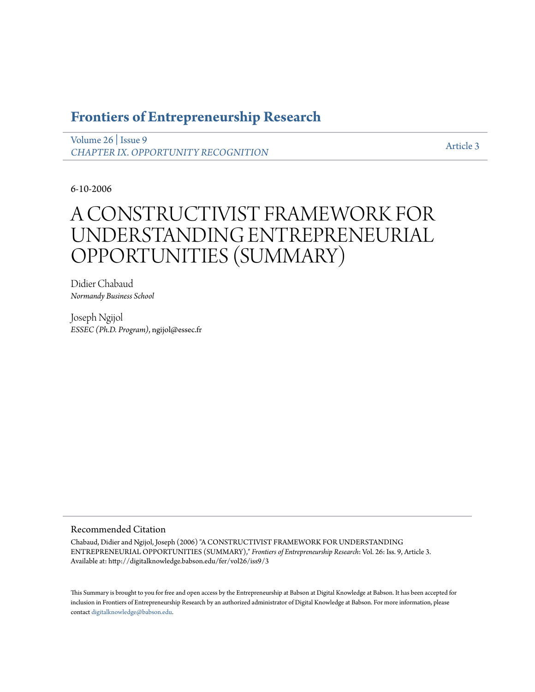# **[Frontiers of Entrepreneurship Research](http://digitalknowledge.babson.edu/fer)**

[Volume 26](http://digitalknowledge.babson.edu/fer/vol26) | [Issue 9](http://digitalknowledge.babson.edu/fer/vol26/iss9) *[CHAPTER IX. OPPORTUNITY RECOGNITION](http://digitalknowledge.babson.edu/fer/vol26/iss9)*

[Article 3](http://digitalknowledge.babson.edu/fer/vol26/iss9/3)

6-10-2006

# A CONSTRUCTIVIST FRAMEWORK FOR UNDERSTANDING ENTREPRENEURIAL OPPORTUNITIES (SUMMARY)

Didier Chabaud *Normandy Business School*

Joseph Ngijol *ESSEC (Ph.D. Program)*, ngijol@essec.fr

### Recommended Citation

Chabaud, Didier and Ngijol, Joseph (2006) "A CONSTRUCTIVIST FRAMEWORK FOR UNDERSTANDING ENTREPRENEURIAL OPPORTUNITIES (SUMMARY)," *Frontiers of Entrepreneurship Research*: Vol. 26: Iss. 9, Article 3. Available at: http://digitalknowledge.babson.edu/fer/vol26/iss9/3

This Summary is brought to you for free and open access by the Entrepreneurship at Babson at Digital Knowledge at Babson. It has been accepted for inclusion in Frontiers of Entrepreneurship Research by an authorized administrator of Digital Knowledge at Babson. For more information, please contact [digitalknowledge@babson.edu](mailto:digitalknowledge@babson.edu).